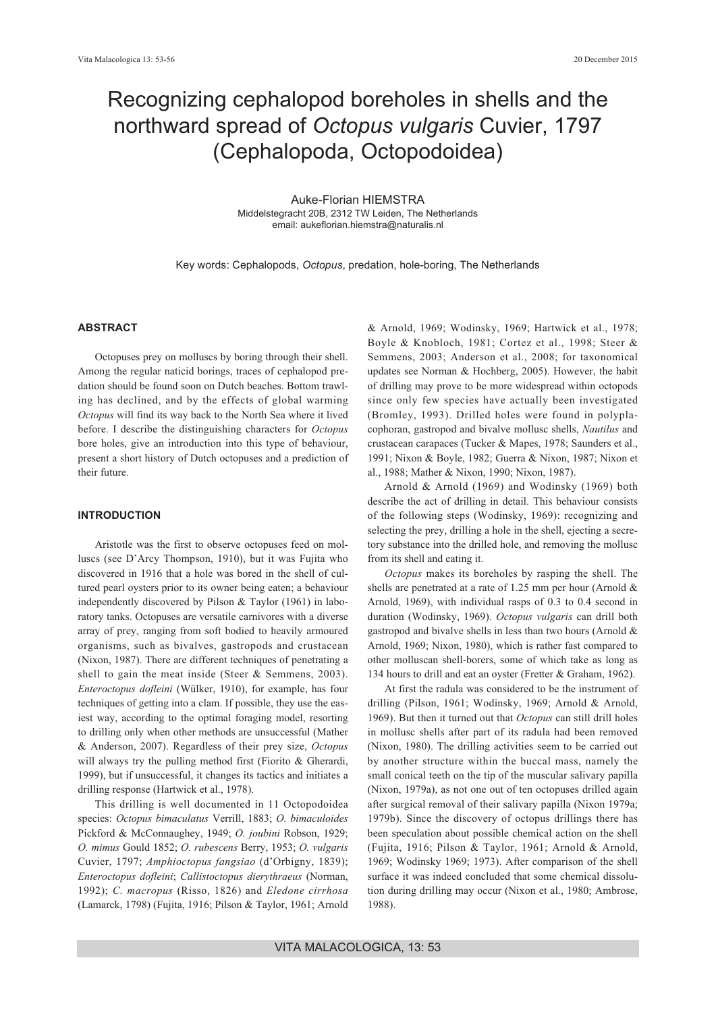# Recognizing cephalopod boreholes in shells and the northward spread of *Octopus vulgaris* Cuvier, 1797 (Cephalopoda, Octopodoidea)

Auke-Florian HIEMSTRA Middelstegracht 20B, 2312 TW Leiden, The Netherlands email: aukeflorian.hiemstra@naturalis.nl

Key words: Cephalopods, *Octopus*, predation, hole-boring, The Netherlands

## **ABSTRACT**

Octopuses prey on molluscs by boring through their shell. Among the regular naticid borings, traces of cephalopod predation should be found soon on Dutch beaches. Bottom trawling has declined, and by the effects of global warming *Octopus* will find its way back to the North Sea where it lived before. I describe the distinguishing characters for *Octopus* bore holes, give an introduction into this type of behaviour, present a short history of Dutch octopuses and a prediction of their future.

## **INTRODUCTION**

Aristotle was the first to observe octopuses feed on molluscs (see D'Arcy Thompson, 1910), but it was Fujita who discovered in 1916 that a hole was bored in the shell of cultured pearl oysters prior to its owner being eaten; a behaviour independently discovered by Pilson & Taylor (1961) in laboratory tanks. Octopuses are versatile carnivores with a diverse array of prey, ranging from soft bodied to heavily armoured organisms, such as bivalves, gastropods and crustacean (Nixon, 1987). There are different techniques of penetrating a shell to gain the meat inside (Steer & Semmens, 2003). *Enteroctopus dofleini* (Wülker, 1910), for example, has four techniques of getting into a clam. If possible, they use the easiest way, according to the optimal foraging model, resorting to drilling only when other methods are unsuccessful (Mather & Anderson, 2007). Regardless of their prey size, *Octopus* will always try the pulling method first (Fiorito & Gherardi, 1999), but if unsuccessful, it changes its tactics and initiates a drilling response (Hartwick et al., 1978).

This drilling is well documented in 11 Octopodoidea species: *Octopus bimaculatus* Verrill, 1883; *O. bimaculoides* Pickford & McConnaughey, 1949; *O. joubini* Robson, 1929; *O. mimus* Gould 1852; *O. rubescens* Berry, 1953; *O. vulgaris* Cuvier, 1797; *Amphioctopus fangsiao* (d'Orbigny, 1839); *Enteroctopus dofleini*; *Callistoctopus dierythraeus* (Norman, 1992); *C. macropus* (Risso, 1826) and *Eledone cirrhosa* (Lamarck, 1798) (Fujita, 1916; Pilson & Taylor, 1961; Arnold

& Arnold, 1969; Wodinsky, 1969; Hartwick et al., 1978; Boyle & Knobloch, 1981; Cortez et al., 1998; Steer & Semmens, 2003; Anderson et al., 2008; for taxonomical updates see Norman & Hochberg, 2005). However, the habit of drilling may prove to be more widespread within octopods since only few species have actually been investigated (Bromley, 1993). Drilled holes were found in polyplacophoran, gastropod and bivalve mollusc shells, *Nautilus* and crustacean carapaces (Tucker & Mapes, 1978; Saunders et al., 1991; Nixon & Boyle, 1982; Guerra & Nixon, 1987; Nixon et al., 1988; Mather & Nixon, 1990; Nixon, 1987).

Arnold & Arnold (1969) and Wodinsky (1969) both describe the act of drilling in detail. This behaviour consists of the following steps (Wodinsky, 1969): recognizing and selecting the prey, drilling a hole in the shell, ejecting a secretory substance into the drilled hole, and removing the mollusc from its shell and eating it.

*Octopus* makes its boreholes by rasping the shell. The shells are penetrated at a rate of 1.25 mm per hour (Arnold & Arnold, 1969), with individual rasps of 0.3 to 0.4 second in duration (Wodinsky, 1969). *Octopus vulgaris* can drill both gastropod and bivalve shells in less than two hours (Arnold & Arnold, 1969; Nixon, 1980), which is rather fast compared to other molluscan shell-borers, some of which take as long as 134 hours to drill and eat an oyster (Fretter & Graham, 1962).

At first the radula was considered to be the instrument of drilling (Pilson, 1961; Wodinsky, 1969; Arnold & Arnold, 1969). But then it turned out that *Octopus* can still drill holes in mollusc shells after part of its radula had been removed (Nixon, 1980). The drilling activities seem to be carried out by another structure within the buccal mass, namely the small conical teeth on the tip of the muscular salivary papilla (Nixon, 1979a), as not one out of ten octopuses drilled again after surgical removal of their salivary papilla (Nixon 1979a; 1979b). Since the discovery of octopus drillings there has been speculation about possible chemical action on the shell (Fujita, 1916; Pilson & Taylor, 1961; Arnold & Arnold, 1969; Wodinsky 1969; 1973). After comparison of the shell surface it was indeed concluded that some chemical dissolution during drilling may occur (Nixon et al., 1980; Ambrose, 1988).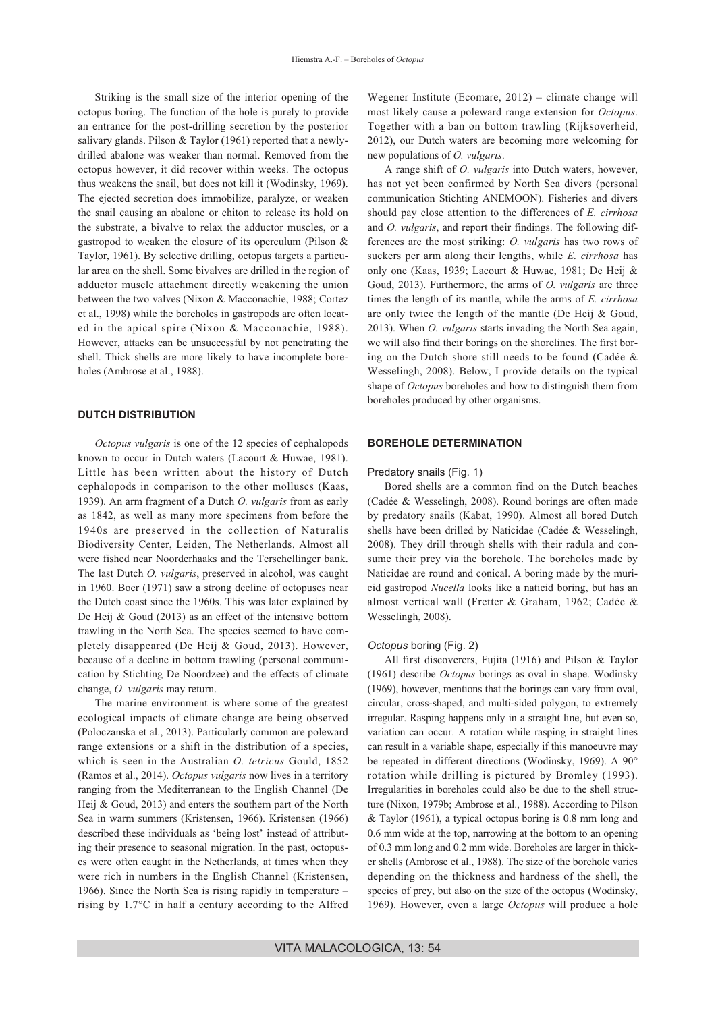Striking is the small size of the interior opening of the octopus boring. The function of the hole is purely to provide an entrance for the post-drilling secretion by the posterior salivary glands. Pilson & Taylor (1961) reported that a newlydrilled abalone was weaker than normal. Removed from the octopus however, it did recover within weeks. The octopus thus weakens the snail, but does not kill it (Wodinsky, 1969). The ejected secretion does immobilize, paralyze, or weaken the snail causing an abalone or chiton to release its hold on the substrate, a bivalve to relax the adductor muscles, or a gastropod to weaken the closure of its operculum (Pilson & Taylor, 1961). By selective drilling, octopus targets a particular area on the shell. Some bivalves are drilled in the region of adductor muscle attachment directly weakening the union between the two valves (Nixon & Macconachie, 1988; Cortez et al., 1998) while the boreholes in gastropods are often located in the apical spire (Nixon & Macconachie, 1988). However, attacks can be unsuccessful by not penetrating the shell. Thick shells are more likely to have incomplete boreholes (Ambrose et al., 1988).

#### **DUTCH DISTRIBUTION**

*Octopus vulgaris* is one of the 12 species of cephalopods known to occur in Dutch waters (Lacourt & Huwae, 1981). Little has been written about the history of Dutch cephalopods in comparison to the other molluscs (Kaas, 1939). An arm fragment of a Dutch *O. vulgaris* from as early as 1842, as well as many more specimens from before the 1940s are preserved in the collection of Naturalis Biodiversity Center, Leiden, The Netherlands. Almost all were fished near Noorderhaaks and the Terschellinger bank. The last Dutch *O. vulgaris*, preserved in alcohol, was caught in 1960. Boer (1971) saw a strong decline of octopuses near the Dutch coast since the 1960s. This was later explained by De Heij & Goud (2013) as an effect of the intensive bottom trawling in the North Sea. The species seemed to have completely disappeared (De Heij & Goud, 2013). However, because of a decline in bottom trawling (personal communication by Stichting De Noordzee) and the effects of climate change, *O. vulgaris* may return.

The marine environment is where some of the greatest ecological impacts of climate change are being observed (Poloczanska et al., 2013). Particularly common are poleward range extensions or a shift in the distribution of a species, which is seen in the Australian *O. tetricus* Gould, 1852 (Ramos et al., 2014). *Octopus vulgaris* now lives in a territory ranging from the Mediterranean to the English Channel (De Heij & Goud, 2013) and enters the southern part of the North Sea in warm summers (Kristensen, 1966). Kristensen (1966) described these individuals as 'being lost' instead of attributing their presence to seasonal migration. In the past, octopuses were often caught in the Netherlands, at times when they were rich in numbers in the English Channel (Kristensen, 1966). Since the North Sea is rising rapidly in temperature – rising by 1.7°C in half a century according to the Alfred

Wegener Institute (Ecomare, 2012) – climate change will most likely cause a poleward range extension for *Octopus*. Together with a ban on bottom trawling (Rijksoverheid, 2012), our Dutch waters are becoming more welcoming for new populations of *O. vulgaris*.

A range shift of *O. vulgaris* into Dutch waters, however, has not yet been confirmed by North Sea divers (personal communication Stichting ANEMOON). Fisheries and divers should pay close attention to the differences of *E. cirrhosa* and *O. vulgaris*, and report their findings. The following differences are the most striking: *O. vulgaris* has two rows of suckers per arm along their lengths, while *E. cirrhosa* has only one (Kaas, 1939; Lacourt & Huwae, 1981; De Heij & Goud, 2013). Furthermore, the arms of *O. vulgaris* are three times the length of its mantle, while the arms of *E. cirrhosa* are only twice the length of the mantle (De Heij & Goud, 2013). When *O. vulgaris* starts invading the North Sea again, we will also find their borings on the shorelines. The first boring on the Dutch shore still needs to be found (Cadée & Wesselingh, 2008). Below, I provide details on the typical shape of *Octopus* boreholes and how to distinguish them from boreholes produced by other organisms.

# **BOREHOLE DETERMINATION**

#### Predatory snails (Fig. 1)

Bored shells are a common find on the Dutch beaches (Cadée & Wesselingh, 2008). Round borings are often made by predatory snails (Kabat, 1990). Almost all bored Dutch shells have been drilled by Naticidae (Cadée & Wesselingh, 2008). They drill through shells with their radula and consume their prey via the borehole. The boreholes made by Naticidae are round and conical. A boring made by the muricid gastropod *Nucella* looks like a naticid boring, but has an almost vertical wall (Fretter & Graham, 1962; Cadée & Wesselingh, 2008).

#### *Octopus* boring (Fig. 2)

All first discoverers, Fujita (1916) and Pilson & Taylor (1961) describe *Octopus* borings as oval in shape. Wodinsky (1969), however, mentions that the borings can vary from oval, circular, cross-shaped, and multi-sided polygon, to extremely irregular. Rasping happens only in a straight line, but even so, variation can occur. A rotation while rasping in straight lines can result in a variable shape, especially if this manoeuvre may be repeated in different directions (Wodinsky, 1969). A 90° rotation while drilling is pictured by Bromley (1993). Irregularities in boreholes could also be due to the shell structure (Nixon, 1979b; Ambrose et al., 1988). According to Pilson & Taylor (1961), a typical octopus boring is 0.8 mm long and 0.6 mm wide at the top, narrowing at the bottom to an opening of 0.3 mm long and 0.2 mm wide. Boreholes are larger in thicker shells (Ambrose et al., 1988). The size of the borehole varies depending on the thickness and hardness of the shell, the species of prey, but also on the size of the octopus (Wodinsky, 1969). However, even a large *Octopus* will produce a hole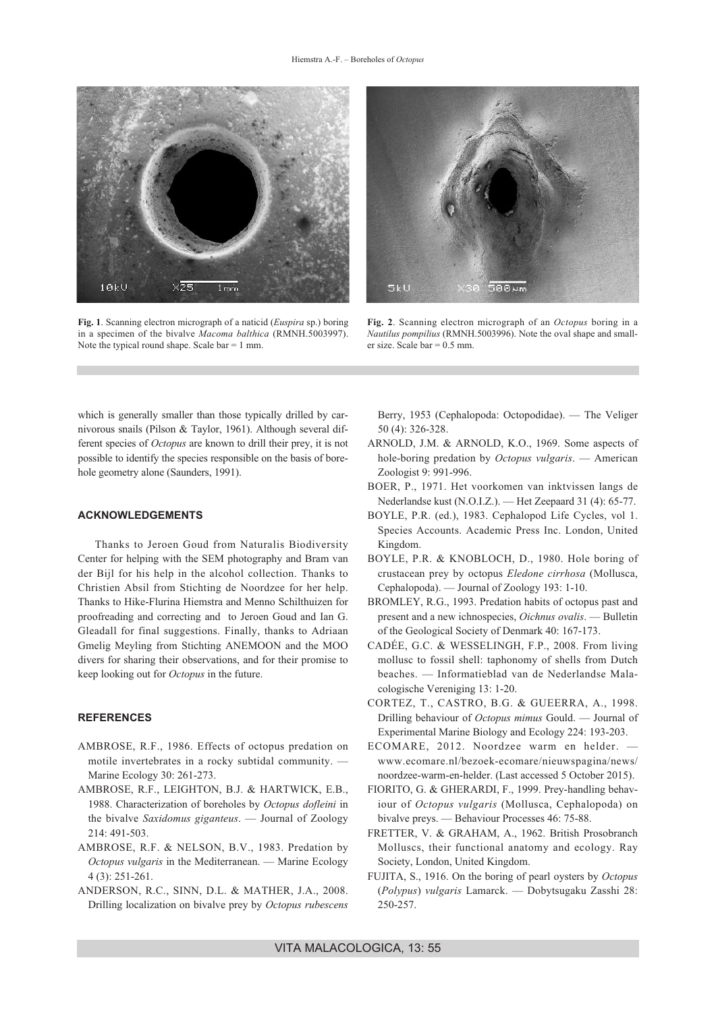

**Fig. 1**. Scanning electron micrograph of a naticid (*Euspira* sp.) boring in a specimen of the bivalve *Macoma balthica* (RMNH.5003997). Note the typical round shape. Scale bar = 1 mm.



**Fig. 2**. Scanning electron micrograph of an *Octopus* boring in a *Nautilus pompilius* (RMNH.5003996). Note the oval shape and smaller size. Scale bar =  $0.5$  mm.

which is generally smaller than those typically drilled by carnivorous snails (Pilson & Taylor, 1961). Although several different species of *Octopus* are known to drill their prey, it is not possible to identify the species responsible on the basis of borehole geometry alone (Saunders, 1991).

## **ACKNOWLEDGEMENTS**

Thanks to Jeroen Goud from Naturalis Biodiversity Center for helping with the SEM photography and Bram van der Bijl for his help in the alcohol collection. Thanks to Christien Absil from Stichting de Noordzee for her help. Thanks to Hike-Flurina Hiemstra and Menno Schilthuizen for proofreading and correcting and to Jeroen Goud and Ian G. Gleadall for final suggestions. Finally, thanks to Adriaan Gmelig Meyling from Stichting ANEMOON and the MOO divers for sharing their observations, and for their promise to keep looking out for *Octopus* in the future.

# **REFERENCES**

- AMBROSE, R.F., 1986. Effects of octopus predation on motile invertebrates in a rocky subtidal community. — Marine Ecology 30: 261-273.
- AMBROSE, R.F., LEIGHTON, B.J. & HARTWICK, E.B., 1988. Characterization of boreholes by *Octopus dofleini* in the bivalve *Saxidomus giganteus*. — Journal of Zoology 214: 491-503.
- AMBROSE, R.F. & NELSON, B.V., 1983. Predation by *Octopus vulgaris* in the Mediterranean. — Marine Ecology 4 (3): 251-261.
- ANDERSON, R.C., SINN, D.L. & MATHER, J.A., 2008. Drilling localization on bivalve prey by *Octopus rubescens*

Berry, 1953 (Cephalopoda: Octopodidae). — The Veliger 50 (4): 326-328.

- ARNOLD, J.M. & ARNOLD, K.O., 1969. Some aspects of hole-boring predation by *Octopus vulgaris*. — American Zoologist 9: 991-996.
- BOER, P., 1971. Het voorkomen van inktvissen langs de Nederlandse kust (N.O.I.Z.). — Het Zeepaard 31 (4): 65-77.
- BOYLE, P.R. (ed.), 1983. Cephalopod Life Cycles, vol 1. Species Accounts. Academic Press Inc. London, United Kingdom.
- BOYLE, P.R. & KNOBLOCH, D., 1980. Hole boring of crustacean prey by octopus *Eledone cirrhosa* (Mollusca, Cephalopoda). — Journal of Zoology 193: 1-10.
- BROMLEY, R.G., 1993. Predation habits of octopus past and present and a new ichnospecies, *Oichnus ovalis*. — Bulletin of the Geological Society of Denmark 40: 167-173.
- CADÉE, G.C. & WESSELINGH, F.P., 2008. From living mollusc to fossil shell: taphonomy of shells from Dutch beaches. — Informatieblad van de Nederlandse Malacologische Vereniging 13: 1-20.
- CORTEZ, T., CASTRO, B.G. & GUEERRA, A., 1998. Drilling behaviour of *Octopus mimus* Gould. — Journal of Experimental Marine Biology and Ecology 224: 193-203.
- ECOMARE, 2012. Noordzee warm en helder. www.ecomare.nl/bezoek-ecomare/nieuwspagina/news/ noordzee-warm-en-helder. (Last accessed 5 October 2015).
- FIORITO, G. & GHERARDI, F., 1999. Prey-handling behaviour of *Octopus vulgaris* (Mollusca, Cephalopoda) on bivalve preys. — Behaviour Processes 46: 75-88.
- FRETTER, V. & GRAHAM, A., 1962. British Prosobranch Molluscs, their functional anatomy and ecology. Ray Society, London, United Kingdom.
- FUJITA, S., 1916. On the boring of pearl oysters by *Octopus* (*Polypus*) *vulgaris* Lamarck. — Dobytsugaku Zasshi 28: 250-257.